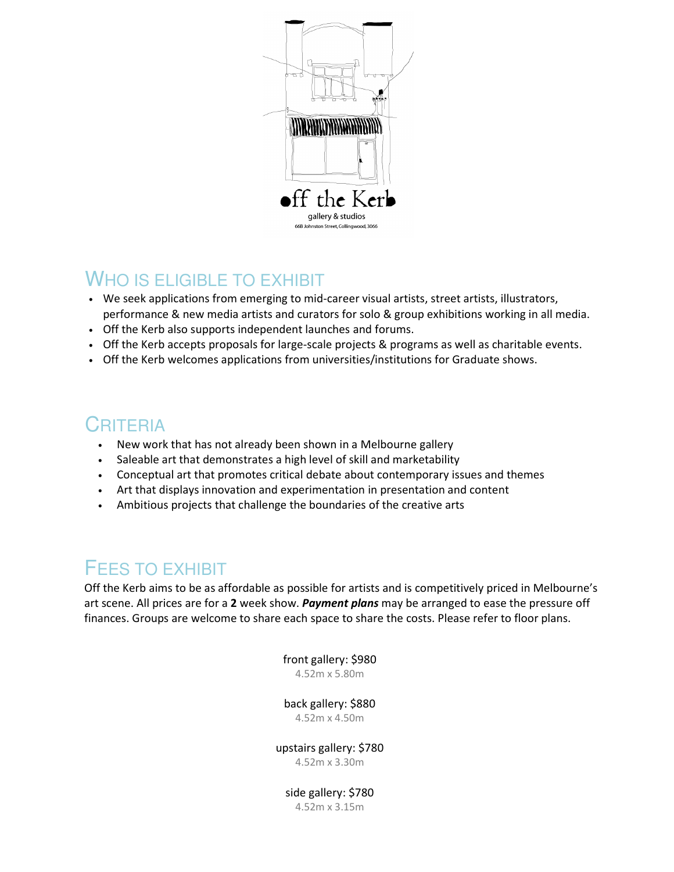

#### WHO IS ELIGIBLE TO EXHIBIT

- We seek applications from emerging to mid-career visual artists, street artists, illustrators, performance & new media artists and curators for solo & group exhibitions working in all media.
- Off the Kerb also supports independent launches and forums.
- Off the Kerb accepts proposals for large-scale projects & programs as well as charitable events.
- Off the Kerb welcomes applications from universities/institutions for Graduate shows.

## **CRITERIA**

- New work that has not already been shown in a Melbourne gallery
- Saleable art that demonstrates a high level of skill and marketability
- Conceptual art that promotes critical debate about contemporary issues and themes
- Art that displays innovation and experimentation in presentation and content
- Ambitious projects that challenge the boundaries of the creative arts

### FEES TO EXHIBIT

Off the Kerb aims to be as affordable as possible for artists and is competitively priced in Melbourne's art scene. All prices are for a 2 week show. Payment plans may be arranged to ease the pressure off finances. Groups are welcome to share each space to share the costs. Please refer to floor plans.

> front gallery: \$980 4.52m x 5.80m

> back gallery: \$880

4.52m x 4.50m

upstairs gallery: \$780 4.52m x 3.30m

side gallery: \$780 4.52m x 3.15m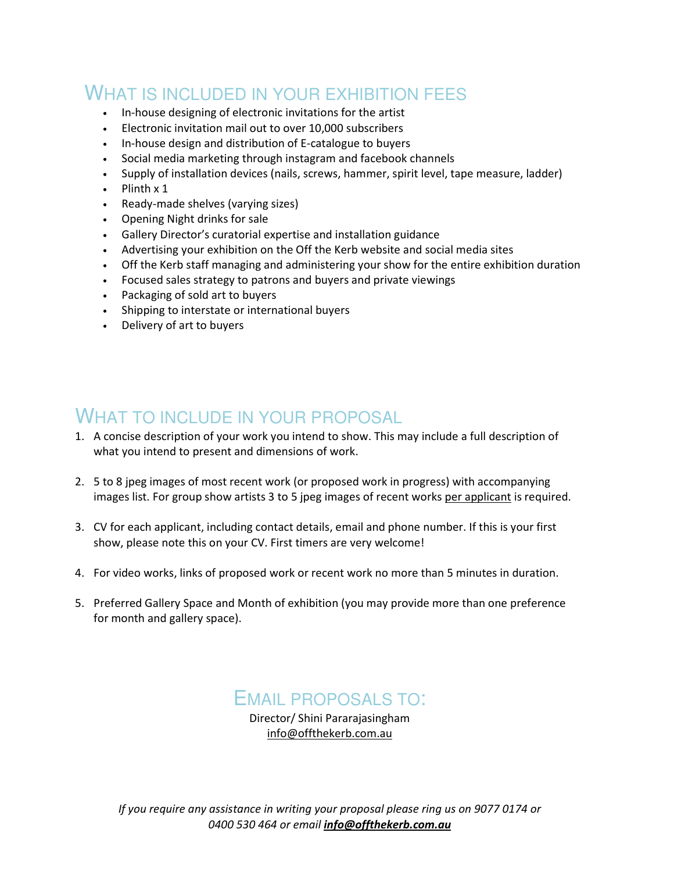## WHAT IS INCLUDED IN YOUR EXHIBITION FEES

- In-house designing of electronic invitations for the artist
- Electronic invitation mail out to over 10,000 subscribers
- In-house design and distribution of E-catalogue to buyers
- Social media marketing through instagram and facebook channels
- Supply of installation devices (nails, screws, hammer, spirit level, tape measure, ladder)
- Plinth x 1
- Ready-made shelves (varying sizes)
- Opening Night drinks for sale
- Gallery Director's curatorial expertise and installation guidance
- Advertising your exhibition on the Off the Kerb website and social media sites
- Off the Kerb staff managing and administering your show for the entire exhibition duration
- Focused sales strategy to patrons and buyers and private viewings
- Packaging of sold art to buyers
- Shipping to interstate or international buyers
- Delivery of art to buyers

#### WHAT TO INCLUDE IN YOUR PROPOSAL

- 1. A concise description of your work you intend to show. This may include a full description of what you intend to present and dimensions of work.
- 2. 5 to 8 jpeg images of most recent work (or proposed work in progress) with accompanying images list. For group show artists 3 to 5 jpeg images of recent works per applicant is required.
- 3. CV for each applicant, including contact details, email and phone number. If this is your first show, please note this on your CV. First timers are very welcome!
- 4. For video works, links of proposed work or recent work no more than 5 minutes in duration.
- 5. Preferred Gallery Space and Month of exhibition (you may provide more than one preference for month and gallery space).

#### EMAIL PROPOSALS TO:

Director/ Shini Pararajasingham info@offthekerb.com.au

If you require any assistance in writing your proposal please ring us on 9077 0174 or 0400 530 464 or email info@offthekerb.com.au